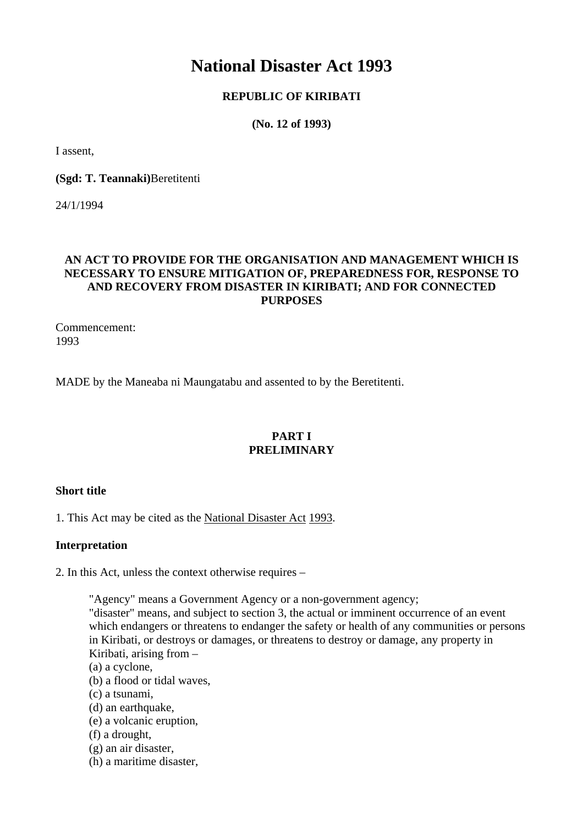# **National Disaster Act 1993**

# **REPUBLIC OF KIRIBATI**

**(No. 12 of 1993)** 

I assent,

**(Sgd: T. Teannaki)**Beretitenti

24/1/1994

# **AN ACT TO PROVIDE FOR THE ORGANISATION AND MANAGEMENT WHICH IS NECESSARY TO ENSURE MITIGATION OF, PREPAREDNESS FOR, RESPONSE TO AND RECOVERY FROM DISASTER IN KIRIBATI; AND FOR CONNECTED PURPOSES**

Commencement: 1993

MADE by the Maneaba ni Maungatabu and assented to by the Beretitenti.

## **PART I PRELIMINARY**

## **Short title**

1. This Act may be cited as the National Disaster Act 1993.

## **Interpretation**

2. In this Act, unless the context otherwise requires –

"Agency" means a Government Agency or a non-government agency;

"disaster" means, and subject to section 3, the actual or imminent occurrence of an event which endangers or threatens to endanger the safety or health of any communities or persons in Kiribati, or destroys or damages, or threatens to destroy or damage, any property in Kiribati, arising from –

- (a) a cyclone,
- (b) a flood or tidal waves,
- (c) a tsunami,
- (d) an earthquake,
- (e) a volcanic eruption,
- (f) a drought,
- (g) an air disaster,
- (h) a maritime disaster,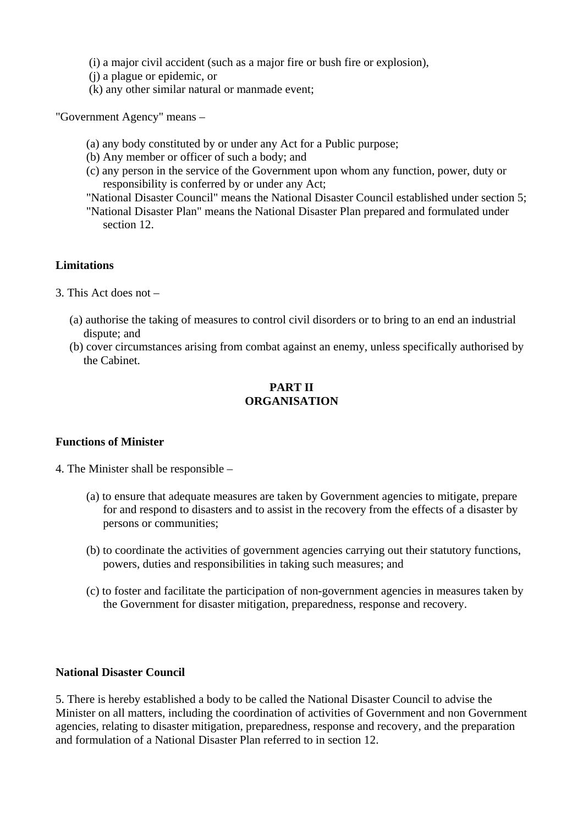(i) a major civil accident (such as a major fire or bush fire or explosion),

- (j) a plague or epidemic, or
- (k) any other similar natural or manmade event;

"Government Agency" means –

- (a) any body constituted by or under any Act for a Public purpose;
- (b) Any member or officer of such a body; and
- (c) any person in the service of the Government upon whom any function, power, duty or responsibility is conferred by or under any Act;
- "National Disaster Council" means the National Disaster Council established under section 5;
- "National Disaster Plan" means the National Disaster Plan prepared and formulated under section 12.

#### **Limitations**

- 3. This Act does not
	- (a) authorise the taking of measures to control civil disorders or to bring to an end an industrial dispute; and
	- (b) cover circumstances arising from combat against an enemy, unless specifically authorised by the Cabinet.

# **PART II ORGANISATION**

## **Functions of Minister**

- 4. The Minister shall be responsible
	- (a) to ensure that adequate measures are taken by Government agencies to mitigate, prepare for and respond to disasters and to assist in the recovery from the effects of a disaster by persons or communities;
	- (b) to coordinate the activities of government agencies carrying out their statutory functions, powers, duties and responsibilities in taking such measures; and
	- (c) to foster and facilitate the participation of non-government agencies in measures taken by the Government for disaster mitigation, preparedness, response and recovery.

## **National Disaster Council**

5. There is hereby established a body to be called the National Disaster Council to advise the Minister on all matters, including the coordination of activities of Government and non Government agencies, relating to disaster mitigation, preparedness, response and recovery, and the preparation and formulation of a National Disaster Plan referred to in section 12.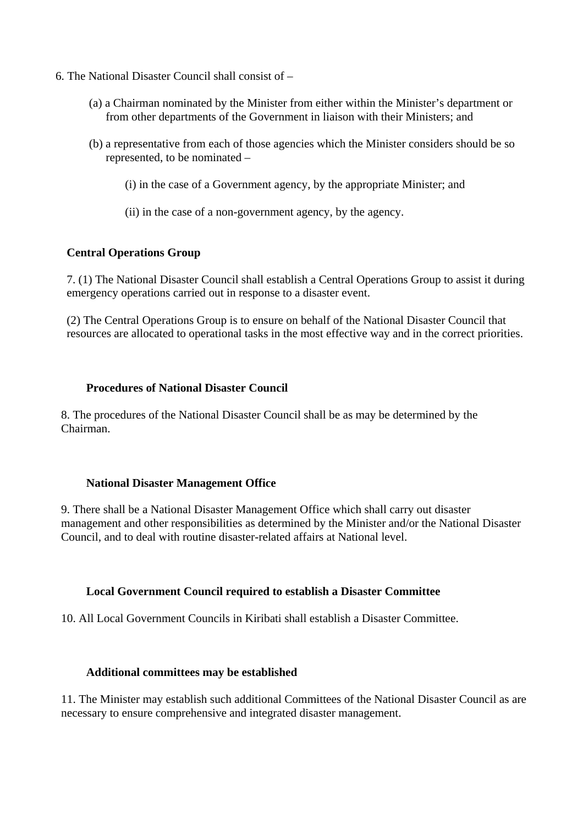- 6. The National Disaster Council shall consist of
	- (a) a Chairman nominated by the Minister from either within the Minister's department or from other departments of the Government in liaison with their Ministers; and
	- (b) a representative from each of those agencies which the Minister considers should be so represented, to be nominated –
		- (i) in the case of a Government agency, by the appropriate Minister; and
		- (ii) in the case of a non-government agency, by the agency.

## **Central Operations Group**

7. (1) The National Disaster Council shall establish a Central Operations Group to assist it during emergency operations carried out in response to a disaster event.

(2) The Central Operations Group is to ensure on behalf of the National Disaster Council that resources are allocated to operational tasks in the most effective way and in the correct priorities.

#### **Procedures of National Disaster Council**

8. The procedures of the National Disaster Council shall be as may be determined by the Chairman.

#### **National Disaster Management Office**

9. There shall be a National Disaster Management Office which shall carry out disaster management and other responsibilities as determined by the Minister and/or the National Disaster Council, and to deal with routine disaster-related affairs at National level.

#### **Local Government Council required to establish a Disaster Committee**

10. All Local Government Councils in Kiribati shall establish a Disaster Committee.

#### **Additional committees may be established**

11. The Minister may establish such additional Committees of the National Disaster Council as are necessary to ensure comprehensive and integrated disaster management.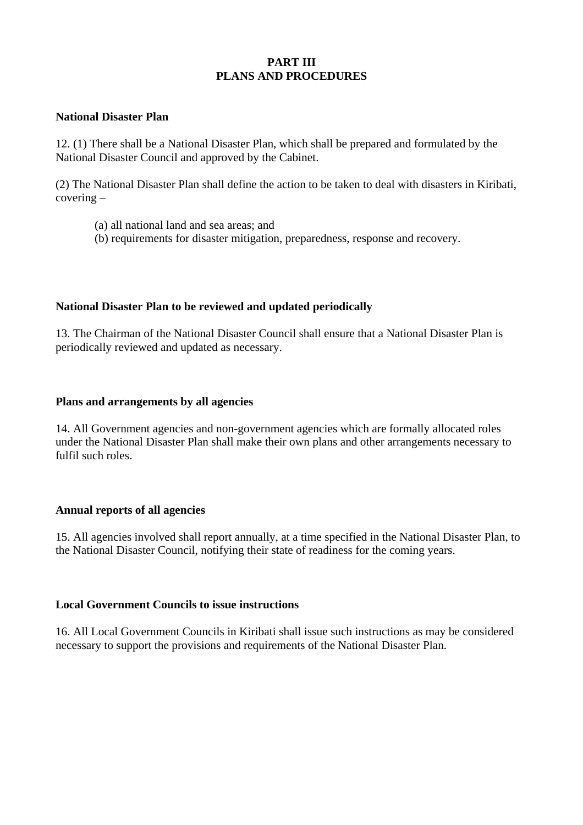## **PART III PLANS AND PROCEDURES**

## **National Disaster Plan**

12. (1) There shall be a National Disaster Plan, which shall be prepared and formulated by the National Disaster Council and approved by the Cabinet.

(2) The National Disaster Plan shall define the action to be taken to deal with disasters in Kiribati, covering –

- (a) all national land and sea areas; and
- (b) requirements for disaster mitigation, preparedness, response and recovery.

## **National Disaster Plan to be reviewed and updated periodically**

13. The Chairman of the National Disaster Council shall ensure that a National Disaster Plan is periodically reviewed and updated as necessary.

## **Plans and arrangements by all agencies**

14. All Government agencies and non-government agencies which are formally allocated roles under the National Disaster Plan shall make their own plans and other arrangements necessary to fulfil such roles.

## **Annual reports of all agencies**

15. All agencies involved shall report annually, at a time specified in the National Disaster Plan, to the National Disaster Council, notifying their state of readiness for the coming years.

## **Local Government Councils to issue instructions**

16. All Local Government Councils in Kiribati shall issue such instructions as may be considered necessary to support the provisions and requirements of the National Disaster Plan.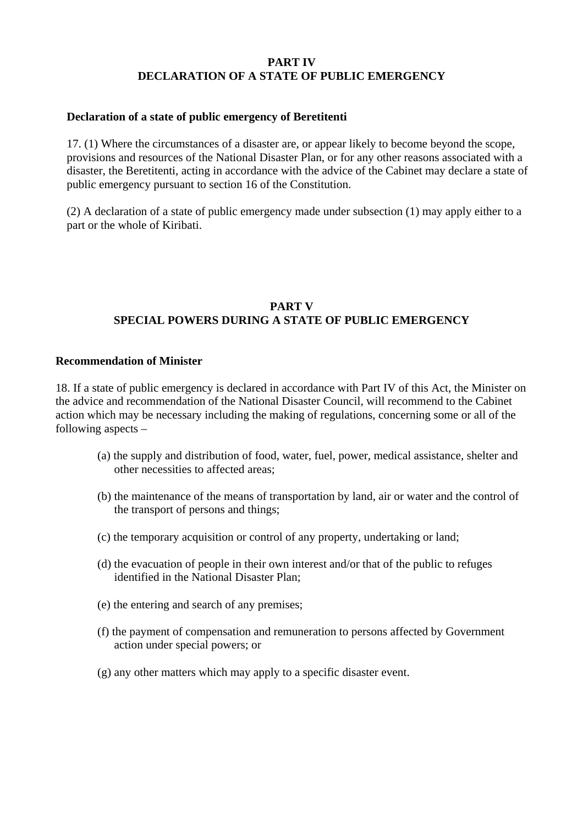## **PART IV DECLARATION OF A STATE OF PUBLIC EMERGENCY**

## **Declaration of a state of public emergency of Beretitenti**

17. (1) Where the circumstances of a disaster are, or appear likely to become beyond the scope, provisions and resources of the National Disaster Plan, or for any other reasons associated with a disaster, the Beretitenti, acting in accordance with the advice of the Cabinet may declare a state of public emergency pursuant to section 16 of the Constitution.

(2) A declaration of a state of public emergency made under subsection (1) may apply either to a part or the whole of Kiribati.

# **PART V SPECIAL POWERS DURING A STATE OF PUBLIC EMERGENCY**

## **Recommendation of Minister**

18. If a state of public emergency is declared in accordance with Part IV of this Act, the Minister on the advice and recommendation of the National Disaster Council, will recommend to the Cabinet action which may be necessary including the making of regulations, concerning some or all of the following aspects –

- (a) the supply and distribution of food, water, fuel, power, medical assistance, shelter and other necessities to affected areas;
- (b) the maintenance of the means of transportation by land, air or water and the control of the transport of persons and things;
- (c) the temporary acquisition or control of any property, undertaking or land;
- (d) the evacuation of people in their own interest and/or that of the public to refuges identified in the National Disaster Plan;
- (e) the entering and search of any premises;
- (f) the payment of compensation and remuneration to persons affected by Government action under special powers; or
- (g) any other matters which may apply to a specific disaster event.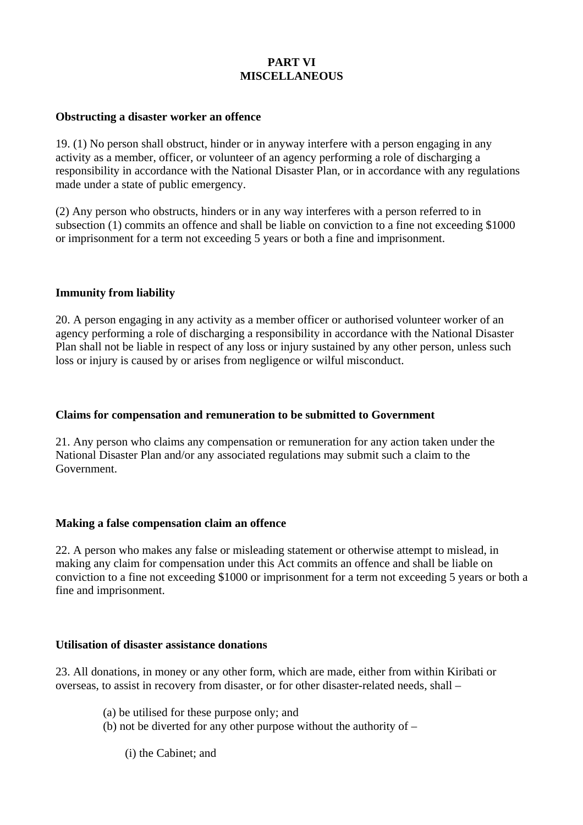# **PART VI MISCELLANEOUS**

#### **Obstructing a disaster worker an offence**

19. (1) No person shall obstruct, hinder or in anyway interfere with a person engaging in any activity as a member, officer, or volunteer of an agency performing a role of discharging a responsibility in accordance with the National Disaster Plan, or in accordance with any regulations made under a state of public emergency.

(2) Any person who obstructs, hinders or in any way interferes with a person referred to in subsection (1) commits an offence and shall be liable on conviction to a fine not exceeding \$1000 or imprisonment for a term not exceeding 5 years or both a fine and imprisonment.

#### **Immunity from liability**

20. A person engaging in any activity as a member officer or authorised volunteer worker of an agency performing a role of discharging a responsibility in accordance with the National Disaster Plan shall not be liable in respect of any loss or injury sustained by any other person, unless such loss or injury is caused by or arises from negligence or wilful misconduct.

## **Claims for compensation and remuneration to be submitted to Government**

21. Any person who claims any compensation or remuneration for any action taken under the National Disaster Plan and/or any associated regulations may submit such a claim to the Government.

#### **Making a false compensation claim an offence**

22. A person who makes any false or misleading statement or otherwise attempt to mislead, in making any claim for compensation under this Act commits an offence and shall be liable on conviction to a fine not exceeding \$1000 or imprisonment for a term not exceeding 5 years or both a fine and imprisonment.

## **Utilisation of disaster assistance donations**

23. All donations, in money or any other form, which are made, either from within Kiribati or overseas, to assist in recovery from disaster, or for other disaster-related needs, shall –

(a) be utilised for these purpose only; and

(b) not be diverted for any other purpose without the authority of –

(i) the Cabinet; and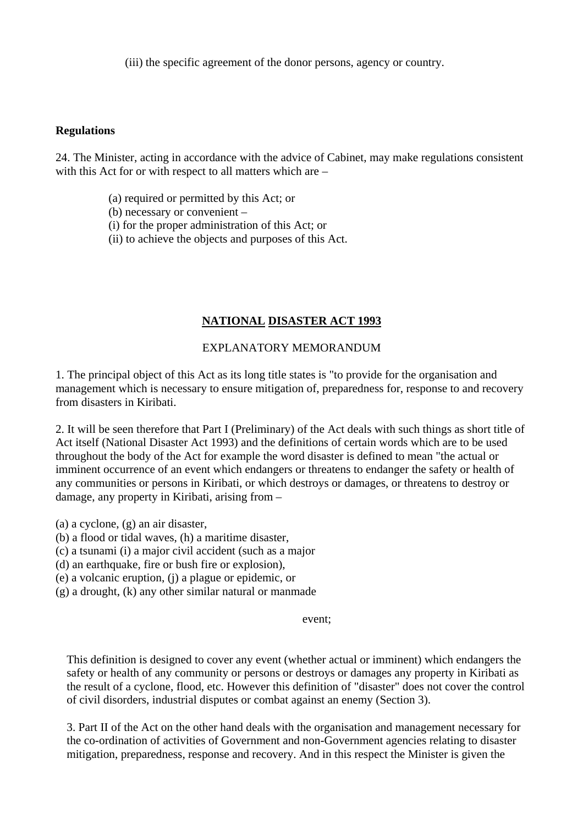(iii) the specific agreement of the donor persons, agency or country.

## **Regulations**

24. The Minister, acting in accordance with the advice of Cabinet, may make regulations consistent with this Act for or with respect to all matters which are –

- (a) required or permitted by this Act; or
- (b) necessary or convenient –
- (i) for the proper administration of this Act; or
- (ii) to achieve the objects and purposes of this Act.

# **NATIONAL DISASTER ACT 1993**

# EXPLANATORY MEMORANDUM

1. The principal object of this Act as its long title states is "to provide for the organisation and management which is necessary to ensure mitigation of, preparedness for, response to and recovery from disasters in Kiribati.

2. It will be seen therefore that Part I (Preliminary) of the Act deals with such things as short title of Act itself (National Disaster Act 1993) and the definitions of certain words which are to be used throughout the body of the Act for example the word disaster is defined to mean "the actual or imminent occurrence of an event which endangers or threatens to endanger the safety or health of any communities or persons in Kiribati, or which destroys or damages, or threatens to destroy or damage, any property in Kiribati, arising from –

(a) a cyclone, (g) an air disaster,

- (b) a flood or tidal waves, (h) a maritime disaster,
- (c) a tsunami (i) a major civil accident (such as a major
- (d) an earthquake, fire or bush fire or explosion),

(e) a volcanic eruption, (j) a plague or epidemic, or

(g) a drought, (k) any other similar natural or manmade

## event;

This definition is designed to cover any event (whether actual or imminent) which endangers the safety or health of any community or persons or destroys or damages any property in Kiribati as the result of a cyclone, flood, etc. However this definition of "disaster" does not cover the control of civil disorders, industrial disputes or combat against an enemy (Section 3).

3. Part II of the Act on the other hand deals with the organisation and management necessary for the co-ordination of activities of Government and non-Government agencies relating to disaster mitigation, preparedness, response and recovery. And in this respect the Minister is given the